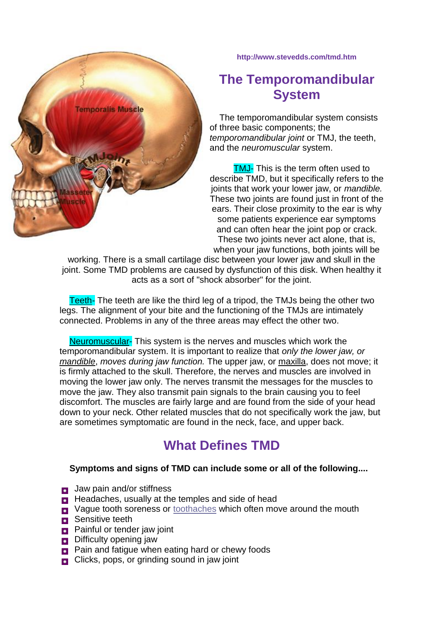

**http://www.stevedds.com/tmd.htm**

## **The Temporomandibular System**

 The temporomandibular system consists of three basic components; the *temporomandibular joint* or TMJ, the teeth, and the *neuromuscular* system.

**TMJ-** This is the term often used to describe TMD, but it specifically refers to the joints that work your lower jaw, or *mandible.* These two joints are found just in front of the ears. Their close proximity to the ear is why some patients experience ear symptoms and can often hear the joint pop or crack. These two joints never act alone, that is, when your jaw functions, both joints will be

working. There is a small cartilage disc between your lower jaw and skull in the joint. Some TMD problems are caused by dysfunction of this disk. When healthy it acts as a sort of "shock absorber" for the joint.

 Teeth- The teeth are like the third leg of a tripod, the TMJs being the other two legs. The alignment of your bite and the functioning of the TMJs are intimately connected. Problems in any of the three areas may effect the other two.

 Neuromuscular- This system is the nerves and muscles which work the temporomandibular system. It is important to realize that *only the lower jaw, or mandible*, *moves during jaw function.* The upper jaw, or maxilla, does not move; it is firmly attached to the skull. Therefore, the nerves and muscles are involved in moving the lower jaw only. The nerves transmit the messages for the muscles to move the jaw. They also transmit pain signals to the brain causing you to feel discomfort. The muscles are fairly large and are found from the side of your head down to your neck. Other related muscles that do not specifically work the jaw, but are sometimes symptomatic are found in the neck, face, and upper back.

# **What Defines TMD**

#### **Symptoms and signs of TMD can include some or all of the following....**

- **D** Jaw pain and/or stiffness
- **Headaches, usually at the temples and side of head**
- **D** Vague tooth soreness or [toothaches](http://www.stevedds.com/toothache.htm) which often move around the mouth
- **B** Sensitive teeth
- **Painful or tender jaw joint**
- **D** Difficulty opening jaw
- **Pain and fatigue when eating hard or chewy foods**
- Clicks, pops, or grinding sound in jaw joint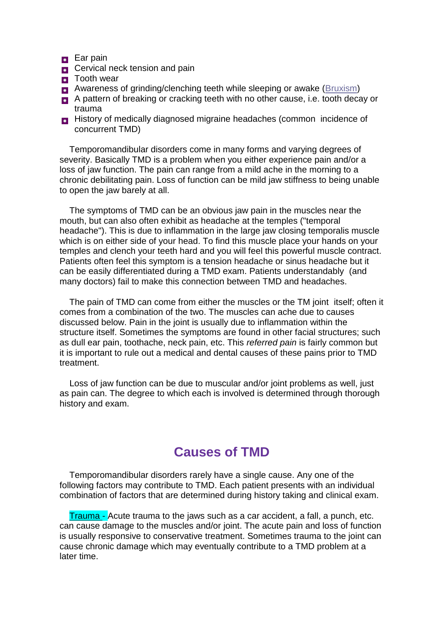#### **Ear pain**

- **D** Cervical neck tension and pain
- **D** Tooth wear
- **B** Awareness of grinding/clenching teeth while sleeping or awake [\(Bruxism\)](http://www.stevedds.com/bruxism.htm)
- A pattern of breaking or cracking teeth with no other cause, i.e. tooth decay or trauma
- **History of medically diagnosed migraine headaches (common incidence of** concurrent TMD)

 Temporomandibular disorders come in many forms and varying degrees of severity. Basically TMD is a problem when you either experience pain and/or a loss of jaw function. The pain can range from a mild ache in the morning to a chronic debilitating pain. Loss of function can be mild jaw stiffness to being unable to open the jaw barely at all.

 The symptoms of TMD can be an obvious jaw pain in the muscles near the mouth, but can also often exhibit as headache at the temples ("temporal headache"). This is due to inflammation in the large jaw closing temporalis muscle which is on either side of your head. To find this muscle place your hands on your temples and clench your teeth hard and you will feel this powerful muscle contract. Patients often feel this symptom is a tension headache or sinus headache but it can be easily differentiated during a TMD exam. Patients understandably (and many doctors) fail to make this connection between TMD and headaches.

 The pain of TMD can come from either the muscles or the TM joint itself; often it comes from a combination of the two. The muscles can ache due to causes discussed below. Pain in the joint is usually due to inflammation within the structure itself. Sometimes the symptoms are found in other facial structures; such as dull ear pain, toothache, neck pain, etc. This *referred pain* is fairly common but it is important to rule out a medical and dental causes of these pains prior to TMD treatment.

 Loss of jaw function can be due to muscular and/or joint problems as well, just as pain can. The degree to which each is involved is determined through thorough history and exam.

### **Causes of TMD**

 Temporomandibular disorders rarely have a single cause. Any one of the following factors may contribute to TMD. Each patient presents with an individual combination of factors that are determined during history taking and clinical exam.

 Trauma - Acute trauma to the jaws such as a car accident, a fall, a punch, etc. can cause damage to the muscles and/or joint. The acute pain and loss of function is usually responsive to conservative treatment. Sometimes trauma to the joint can cause chronic damage which may eventually contribute to a TMD problem at a later time.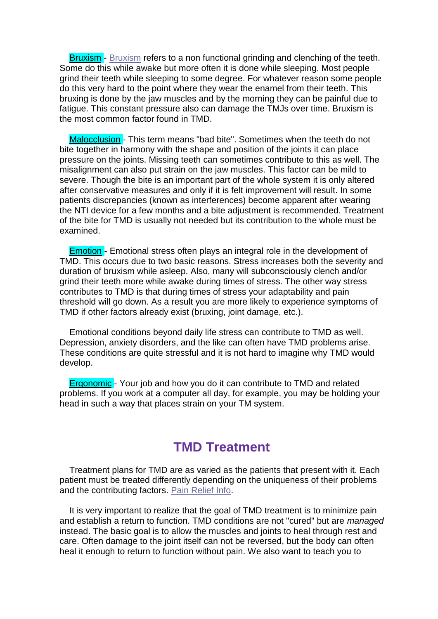**[Bruxism](http://www.stevedds.com/bruxism.htm)** - Bruxism refers to a non functional grinding and clenching of the teeth. Some do this while awake but more often it is done while sleeping. Most people grind their teeth while sleeping to some degree. For whatever reason some people do this very hard to the point where they wear the enamel from their teeth. This bruxing is done by the jaw muscles and by the morning they can be painful due to fatigue. This constant pressure also can damage the TMJs over time. Bruxism is the most common factor found in TMD.

Malocclusion - This term means "bad bite". Sometimes when the teeth do not bite together in harmony with the shape and position of the joints it can place pressure on the joints. Missing teeth can sometimes contribute to this as well. The misalignment can also put strain on the jaw muscles. This factor can be mild to severe. Though the bite is an important part of the whole system it is only altered after conservative measures and only if it is felt improvement will result. In some patients discrepancies (known as interferences) become apparent after wearing the NTI device for a few months and a bite adjustment is recommended. Treatment of the bite for TMD is usually not needed but its contribution to the whole must be examined.

 Emotion - Emotional stress often plays an integral role in the development of TMD. This occurs due to two basic reasons. Stress increases both the severity and duration of bruxism while asleep. Also, many will subconsciously clench and/or grind their teeth more while awake during times of stress. The other way stress contributes to TMD is that during times of stress your adaptability and pain threshold will go down. As a result you are more likely to experience symptoms of TMD if other factors already exist (bruxing, joint damage, etc.).

 Emotional conditions beyond daily life stress can contribute to TMD as well. Depression, anxiety disorders, and the like can often have TMD problems arise. These conditions are quite stressful and it is not hard to imagine why TMD would develop.

 Ergonomic - Your job and how you do it can contribute to TMD and related problems. If you work at a computer all day, for example, you may be holding your head in such a way that places strain on your TM system.

## **TMD Treatment**

Treatment plans for TMD are as varied as the patients that present with it. Each patient must be treated differently depending on the uniqueness of their problems and the contributing factors. [Pain Relief Info.](http://www.otcmedinfo.com/)

 It is very important to realize that the goal of TMD treatment is to minimize pain and establish a return to function. TMD conditions are not "cured" but are *managed* instead. The basic goal is to allow the muscles and joints to heal through rest and care. Often damage to the joint itself can not be reversed, but the body can often heal it enough to return to function without pain. We also want to teach you to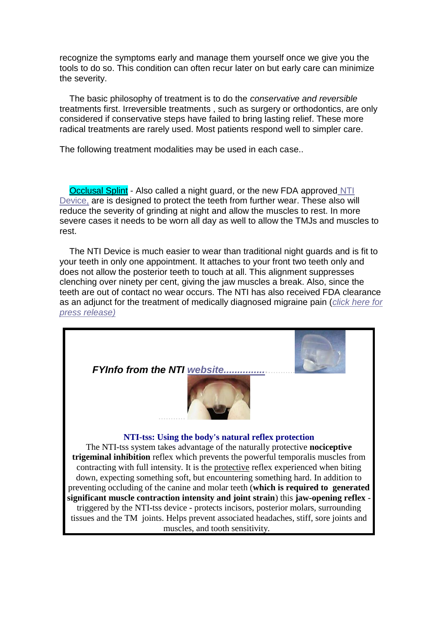recognize the symptoms early and manage them yourself once we give you the tools to do so. This condition can often recur later on but early care can minimize the severity.

 The basic philosophy of treatment is to do the *conservative and reversible* treatments first. Irreversible treatments , such as surgery or orthodontics, are only considered if conservative steps have failed to bring lasting relief. These more radical treatments are rarely used. Most patients respond well to simpler care.

The following treatment modalities may be used in each case..

Occlusal Splint - Also called a night guard, or the new FDA approved NTI [Device,](http://www.nti-tss.com/) are is designed to protect the teeth from further wear. These also will reduce the severity of grinding at night and allow the muscles to rest. In more severe cases it needs to be worn all day as well to allow the TMJs and muscles to rest.

 The NTI Device is much easier to wear than traditional night guards and is fit to your teeth in only one appointment. It attaches to your front two teeth only and does not allow the posterior teeth to touch at all. This alignment suppresses clenching over ninety per cent, giving the jaw muscles a break. Also, since the teeth are out of contact no wear occurs. The NTI has also received FDA clearance as an adjunct for the treatment of medically diagnosed migraine pain (*[click here for](http://www.nti-tss.com/migrainepressrelease.html)  [press release\)](http://www.nti-tss.com/migrainepressrelease.html)*

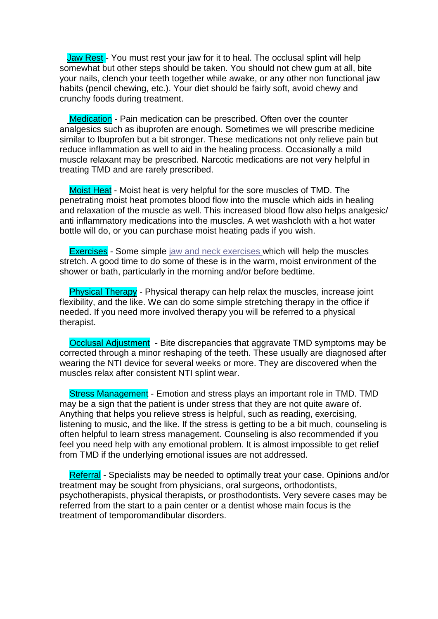Jaw Rest - You must rest your jaw for it to heal. The occlusal splint will help somewhat but other steps should be taken. You should not chew gum at all, bite your nails, clench your teeth together while awake, or any other non functional jaw habits (pencil chewing, etc.). Your diet should be fairly soft, avoid chewy and crunchy foods during treatment.

Medication - Pain medication can be prescribed. Often over the counter analgesics such as ibuprofen are enough. Sometimes we will prescribe medicine similar to Ibuprofen but a bit stronger. These medications not only relieve pain but reduce inflammation as well to aid in the healing process. Occasionally a mild muscle relaxant may be prescribed. Narcotic medications are not very helpful in treating TMD and are rarely prescribed.

 Moist Heat - Moist heat is very helpful for the sore muscles of TMD. The penetrating moist heat promotes blood flow into the muscle which aids in healing and relaxation of the muscle as well. This increased blood flow also helps analgesic/ anti inflammatory medications into the muscles. A wet washcloth with a hot water bottle will do, or you can purchase moist heating pads if you wish.

Exercises - Some simple [jaw and neck exercises w](http://www.stevedds.com/jaw_exercises.htm)hich will help the muscles stretch. A good time to do some of these is in the warm, moist environment of the shower or bath, particularly in the morning and/or before bedtime.

 Physical Therapy - Physical therapy can help relax the muscles, increase joint flexibility, and the like. We can do some simple stretching therapy in the office if needed. If you need more involved therapy you will be referred to a physical therapist.

 Occlusal Adjustment - Bite discrepancies that aggravate TMD symptoms may be corrected through a minor reshaping of the teeth. These usually are diagnosed after wearing the NTI device for several weeks or more. They are discovered when the muscles relax after consistent NTI splint wear.

 Stress Management - Emotion and stress plays an important role in TMD. TMD may be a sign that the patient is under stress that they are not quite aware of. Anything that helps you relieve stress is helpful, such as reading, exercising, listening to music, and the like. If the stress is getting to be a bit much, counseling is often helpful to learn stress management. Counseling is also recommended if you feel you need help with any emotional problem. It is almost impossible to get relief from TMD if the underlying emotional issues are not addressed.

 Referral - Specialists may be needed to optimally treat your case. Opinions and/or treatment may be sought from physicians, oral surgeons, orthodontists, psychotherapists, physical therapists, or prosthodontists. Very severe cases may be referred from the start to a pain center or a dentist whose main focus is the treatment of temporomandibular disorders.